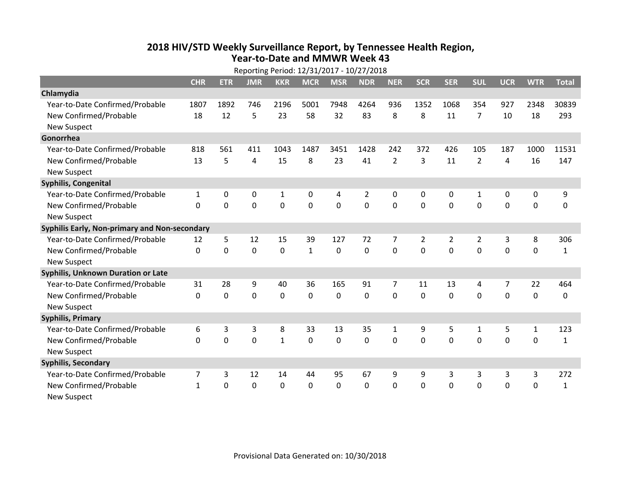## **2018 HIV /STD Weekl y Surveillance Report, b y Tennessee Health Region, Year‐to‐Date and MMWR Week 43**

| Reporting Period: 12/31/2017 - 10/27/2018     |              |             |                |             |              |                |                |                |                |                |                |             |              |              |
|-----------------------------------------------|--------------|-------------|----------------|-------------|--------------|----------------|----------------|----------------|----------------|----------------|----------------|-------------|--------------|--------------|
|                                               | <b>CHR</b>   | <b>ETR</b>  | <b>JMR</b>     | <b>KKR</b>  | <b>MCR</b>   | <b>MSR</b>     | <b>NDR</b>     | <b>NER</b>     | <b>SCR</b>     | <b>SER</b>     | <b>SUL</b>     | <b>UCR</b>  | <b>WTR</b>   | <b>Total</b> |
| Chlamydia                                     |              |             |                |             |              |                |                |                |                |                |                |             |              |              |
| Year-to-Date Confirmed/Probable               | 1807         | 1892        | 746            | 2196        | 5001         | 7948           | 4264           | 936            | 1352           | 1068           | 354            | 927         | 2348         | 30839        |
| New Confirmed/Probable                        | 18           | 12          | 5              | 23          | 58           | 32             | 83             | 8              | 8              | 11             | $\overline{7}$ | 10          | 18           | 293          |
| <b>New Suspect</b>                            |              |             |                |             |              |                |                |                |                |                |                |             |              |              |
| Gonorrhea                                     |              |             |                |             |              |                |                |                |                |                |                |             |              |              |
| Year-to-Date Confirmed/Probable               | 818          | 561         | 411            | 1043        | 1487         | 3451           | 1428           | 242            | 372            | 426            | 105            | 187         | 1000         | 11531        |
| New Confirmed/Probable                        | 13           | 5           | $\overline{4}$ | 15          | 8            | 23             | 41             | $\overline{2}$ | 3              | 11             | $\overline{2}$ | 4           | 16           | 147          |
| <b>New Suspect</b>                            |              |             |                |             |              |                |                |                |                |                |                |             |              |              |
| Syphilis, Congenital                          |              |             |                |             |              |                |                |                |                |                |                |             |              |              |
| Year-to-Date Confirmed/Probable               | $\mathbf{1}$ | 0           | 0              | 1           | 0            | 4              | 2              | 0              | 0              | 0              | 1              | 0           | 0            | 9            |
| New Confirmed/Probable                        | $\Omega$     | $\Omega$    | $\mathbf 0$    | $\mathbf 0$ | $\mathbf 0$  | $\overline{0}$ | $\overline{0}$ | 0              | $\overline{0}$ | $\mathbf 0$    | $\mathbf{0}$   | $\mathbf 0$ | $\mathbf 0$  | $\mathbf 0$  |
| <b>New Suspect</b>                            |              |             |                |             |              |                |                |                |                |                |                |             |              |              |
| Syphilis Early, Non-primary and Non-secondary |              |             |                |             |              |                |                |                |                |                |                |             |              |              |
| Year-to-Date Confirmed/Probable               | 12           | 5           | 12             | 15          | 39           | 127            | 72             | 7              | $\overline{2}$ | $\overline{2}$ | $\overline{2}$ | 3           | 8            | 306          |
| New Confirmed/Probable                        | $\mathbf{0}$ | $\mathbf 0$ | $\mathbf 0$    | 0           | $\mathbf{1}$ | $\mathbf 0$    | $\overline{0}$ | 0              | $\Omega$       | $\overline{0}$ | $\Omega$       | $\mathbf 0$ | $\mathbf 0$  | 1            |
| <b>New Suspect</b>                            |              |             |                |             |              |                |                |                |                |                |                |             |              |              |
| <b>Syphilis, Unknown Duration or Late</b>     |              |             |                |             |              |                |                |                |                |                |                |             |              |              |
| Year-to-Date Confirmed/Probable               | 31           | 28          | 9              | 40          | 36           | 165            | 91             | 7              | 11             | 13             | 4              | 7           | 22           | 464          |
| New Confirmed/Probable                        | $\Omega$     | $\mathbf 0$ | $\mathbf 0$    | $\mathbf 0$ | $\mathbf 0$  | $\Omega$       | $\mathbf 0$    | $\Omega$       | $\Omega$       | $\Omega$       | $\Omega$       | $\mathbf 0$ | $\mathbf 0$  | $\Omega$     |
| <b>New Suspect</b>                            |              |             |                |             |              |                |                |                |                |                |                |             |              |              |
| <b>Syphilis, Primary</b>                      |              |             |                |             |              |                |                |                |                |                |                |             |              |              |
| Year-to-Date Confirmed/Probable               | 6            | 3           | 3              | 8           | 33           | 13             | 35             | $\mathbf{1}$   | 9              | 5              | $\mathbf{1}$   | 5           | $\mathbf{1}$ | 123          |
| New Confirmed/Probable                        | $\Omega$     | $\mathbf 0$ | $\mathbf 0$    | $\mathbf 1$ | $\mathbf 0$  | $\mathbf 0$    | $\mathbf 0$    | 0              | $\mathbf 0$    | $\mathbf 0$    | $\mathbf 0$    | 0           | 0            | 1            |
| <b>New Suspect</b>                            |              |             |                |             |              |                |                |                |                |                |                |             |              |              |
| <b>Syphilis, Secondary</b>                    |              |             |                |             |              |                |                |                |                |                |                |             |              |              |
| Year-to-Date Confirmed/Probable               | 7            | 3           | 12             | 14          | 44           | 95             | 67             | 9              | 9              | 3              | 3              | 3           | 3            | 272          |
| New Confirmed/Probable                        | $\mathbf{1}$ | 0           | $\mathbf 0$    | $\mathbf 0$ | $\mathbf 0$  | 0              | $\mathbf 0$    | 0              | 0              | $\mathbf 0$    | 0              | 0           | $\mathbf 0$  | 1            |
| <b>New Suspect</b>                            |              |             |                |             |              |                |                |                |                |                |                |             |              |              |